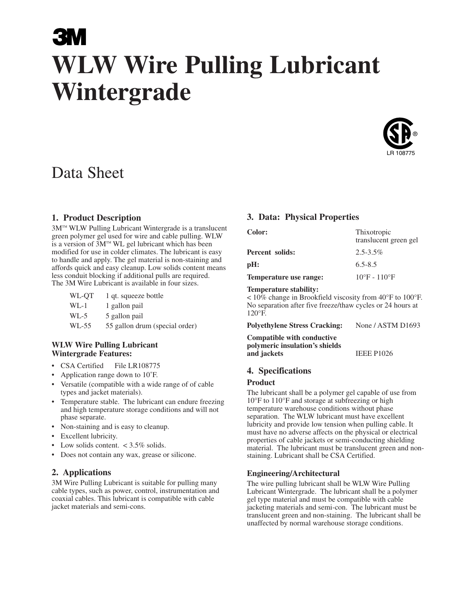# **WLW Wire Pulling Lubricant Wintergrade**



# Data Sheet

#### **1. Product Description**

3M™ WLW Pulling Lubricant Wintergrade is a translucent green polymer gel used for wire and cable pulling. WLW is a version of  $\widetilde{3M}^{m}$  WL gel lubricant which has been modified for use in colder climates. The lubricant is easy to handle and apply. The gel material is non-staining and affords quick and easy cleanup. Low solids content means less conduit blocking if additional pulls are required. The 3M Wire Lubricant is available in four sizes.

| WL-QT | 1 qt. squeeze bottle |  |
|-------|----------------------|--|
|-------|----------------------|--|

- WL-1 1 gallon pail
- WL-5 5 gallon pail
- WL-55 55 gallon drum (special order)

#### **WLW Wire Pulling Lubricant Wintergrade Features:**

- CSA Certified File LR108775
- Application range down to 10<sup>°</sup>F.
- Versatile (compatible with a wide range of of cable types and jacket materials).
- Temperature stable. The lubricant can endure freezing and high temperature storage conditions and will not phase separate.
- Non-staining and is easy to cleanup.
- Excellent lubricity.
- Low solids content.  $< 3.5\%$  solids.
- Does not contain any wax, grease or silicone.

#### **2. Applications**

3M Wire Pulling Lubricant is suitable for pulling many cable types, such as power, control, instrumentation and coaxial cables. This lubricant is compatible with cable jacket materials and semi-cons.

#### **3. Data: Physical Properties**

| <b>Color:</b>          | Thixotropic<br>translucent green gel |
|------------------------|--------------------------------------|
| Percent solids:        | $2.5 - 3.5\%$                        |
| pH:                    | $6.5 - 8.5$                          |
| Temperature use range: | $10^{\circ}$ F - $110^{\circ}$ F     |

#### **Temperature stability:**

< 10% change in Brookfield viscosity from 40°F to 100°F. No separation after five freeze/thaw cycles or 24 hours at 120°F.

**Polyethylene Stress Cracking:** None / ASTM D1693

**Compatible with conductive polymeric insulation's shields and jackets** IEEE P1026

#### **4. Specifications**

#### **Product**

The lubricant shall be a polymer gel capable of use from 10°F to 110°F and storage at subfreezing or high temperature warehouse conditions without phase separation. The WLW lubricant must have excellent lubricity and provide low tension when pulling cable. It must have no adverse affects on the physical or electrical properties of cable jackets or semi-conducting shielding material. The lubricant must be translucent green and nonstaining. Lubricant shall be CSA Certified.

#### **Engineering/Architectural**

The wire pulling lubricant shall be WLW Wire Pulling Lubricant Wintergrade. The lubricant shall be a polymer gel type material and must be compatible with cable jacketing materials and semi-con. The lubricant must be translucent green and non-staining. The lubricant shall be unaffected by normal warehouse storage conditions.